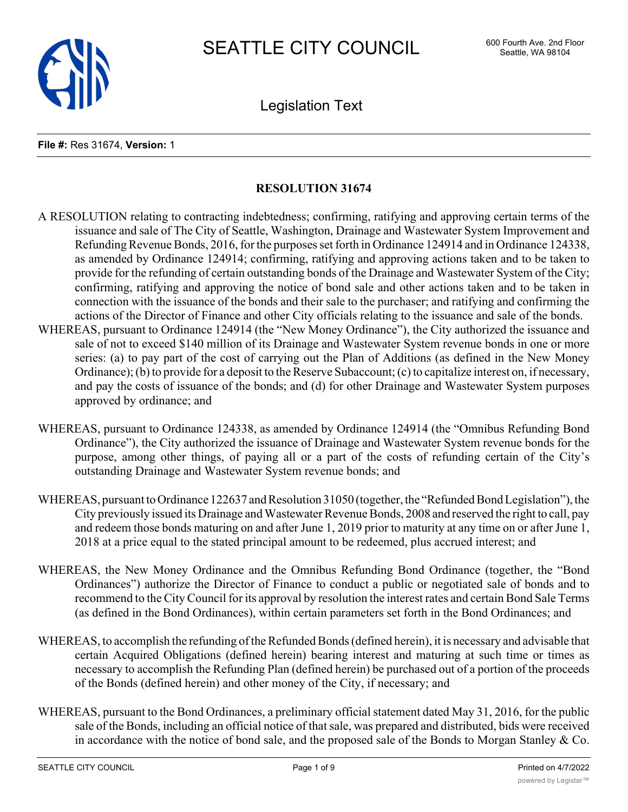

Legislation Text

#### **File #:** Res 31674, **Version:** 1

# **RESOLUTION 31674**

- A RESOLUTION relating to contracting indebtedness; confirming, ratifying and approving certain terms of the issuance and sale of The City of Seattle, Washington, Drainage and Wastewater System Improvement and Refunding Revenue Bonds, 2016, for the purposes set forth in Ordinance 124914 and in Ordinance 124338, as amended by Ordinance 124914; confirming, ratifying and approving actions taken and to be taken to provide for the refunding of certain outstanding bonds of the Drainage and Wastewater System of the City; confirming, ratifying and approving the notice of bond sale and other actions taken and to be taken in connection with the issuance of the bonds and their sale to the purchaser; and ratifying and confirming the actions of the Director of Finance and other City officials relating to the issuance and sale of the bonds.
- WHEREAS, pursuant to Ordinance 124914 (the "New Money Ordinance"), the City authorized the issuance and sale of not to exceed \$140 million of its Drainage and Wastewater System revenue bonds in one or more series: (a) to pay part of the cost of carrying out the Plan of Additions (as defined in the New Money Ordinance); (b) to provide for a deposit to the Reserve Subaccount; (c) to capitalize interest on, if necessary, and pay the costs of issuance of the bonds; and (d) for other Drainage and Wastewater System purposes approved by ordinance; and
- WHEREAS, pursuant to Ordinance 124338, as amended by Ordinance 124914 (the "Omnibus Refunding Bond Ordinance"), the City authorized the issuance of Drainage and Wastewater System revenue bonds for the purpose, among other things, of paying all or a part of the costs of refunding certain of the City's outstanding Drainage and Wastewater System revenue bonds; and
- WHEREAS, pursuant to Ordinance 122637 and Resolution 31050 (together, the "Refunded Bond Legislation"), the City previously issued its Drainage and Wastewater Revenue Bonds, 2008 and reserved the right to call, pay and redeem those bonds maturing on and after June 1, 2019 prior to maturity at any time on or after June 1, 2018 at a price equal to the stated principal amount to be redeemed, plus accrued interest; and
- WHEREAS, the New Money Ordinance and the Omnibus Refunding Bond Ordinance (together, the "Bond Ordinances") authorize the Director of Finance to conduct a public or negotiated sale of bonds and to recommend to the City Council for its approval by resolution the interest rates and certain Bond Sale Terms (as defined in the Bond Ordinances), within certain parameters set forth in the Bond Ordinances; and
- WHEREAS, to accomplish the refunding of the Refunded Bonds (defined herein), it is necessary and advisable that certain Acquired Obligations (defined herein) bearing interest and maturing at such time or times as necessary to accomplish the Refunding Plan (defined herein) be purchased out of a portion of the proceeds of the Bonds (defined herein) and other money of the City, if necessary; and
- WHEREAS, pursuant to the Bond Ordinances, a preliminary official statement dated May 31, 2016, for the public sale of the Bonds, including an official notice of that sale, was prepared and distributed, bids were received in accordance with the notice of bond sale, and the proposed sale of the Bonds to Morgan Stanley  $& Co.$

 $L$  has been recommended to the City Council for its approximation interest rates and other Bond Sales and other Bond Sales and other Bond Sales and other Bond Sales and other Bond Sales and other Bond Sales and  $\alpha$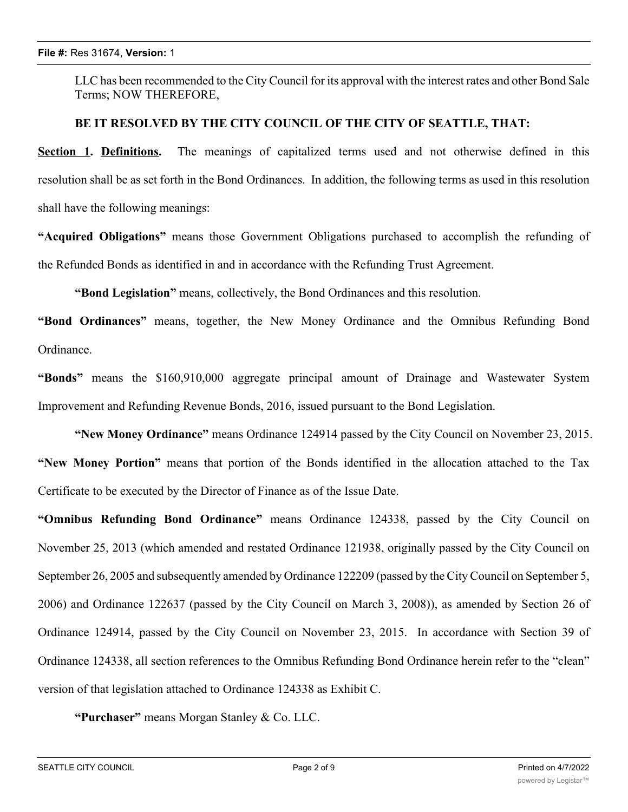LLC has been recommended to the City Council for its approval with the interest rates and other Bond Sale Terms; NOW THEREFORE,

### **BE IT RESOLVED BY THE CITY COUNCIL OF THE CITY OF SEATTLE, THAT:**

**Section 1. Definitions.** The meanings of capitalized terms used and not otherwise defined in this resolution shall be as set forth in the Bond Ordinances. In addition, the following terms as used in this resolution shall have the following meanings:

**"Acquired Obligations"** means those Government Obligations purchased to accomplish the refunding of the Refunded Bonds as identified in and in accordance with the Refunding Trust Agreement.

**"Bond Legislation"** means, collectively, the Bond Ordinances and this resolution.

**"Bond Ordinances"** means, together, the New Money Ordinance and the Omnibus Refunding Bond Ordinance.

**"Bonds"** means the \$160,910,000 aggregate principal amount of Drainage and Wastewater System Improvement and Refunding Revenue Bonds, 2016, issued pursuant to the Bond Legislation.

**"New Money Ordinance"** means Ordinance 124914 passed by the City Council on November 23, 2015. **"New Money Portion"** means that portion of the Bonds identified in the allocation attached to the Tax Certificate to be executed by the Director of Finance as of the Issue Date.

**"Omnibus Refunding Bond Ordinance"** means Ordinance 124338, passed by the City Council on November 25, 2013 (which amended and restated Ordinance 121938, originally passed by the City Council on September 26, 2005 and subsequently amended by Ordinance 122209 (passed by the City Council on September 5, 2006) and Ordinance 122637 (passed by the City Council on March 3, 2008)), as amended by Section 26 of Ordinance 124914, passed by the City Council on November 23, 2015. In accordance with Section 39 of Ordinance 124338, all section references to the Omnibus Refunding Bond Ordinance herein refer to the "clean" version of that legislation attached to Ordinance 124338 as Exhibit C.

**"Purchaser"** means Morgan Stanley & Co. LLC.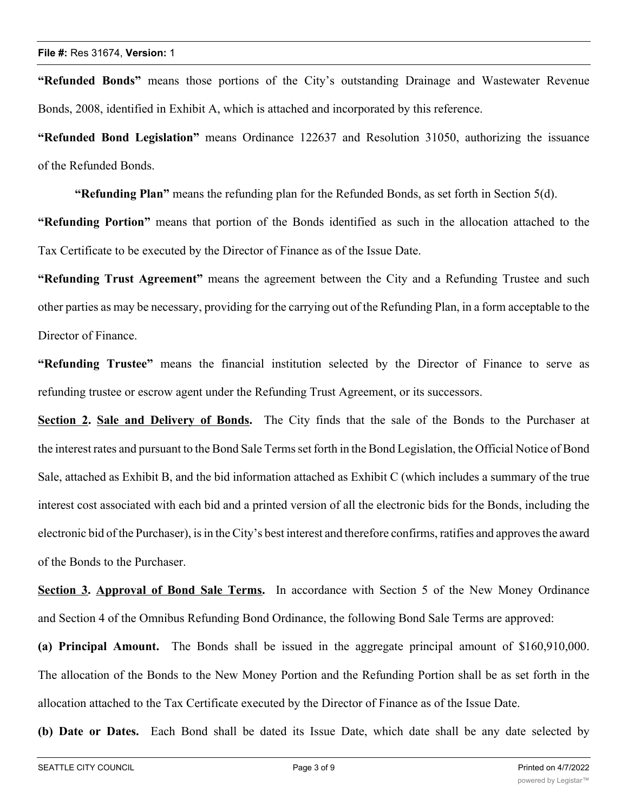**"Refunded Bonds"** means those portions of the City's outstanding Drainage and Wastewater Revenue Bonds, 2008, identified in Exhibit A, which is attached and incorporated by this reference.

**"Refunded Bond Legislation"** means Ordinance 122637 and Resolution 31050, authorizing the issuance of the Refunded Bonds.

**"Refunding Plan"** means the refunding plan for the Refunded Bonds, as set forth in Section 5(d).

**"Refunding Portion"** means that portion of the Bonds identified as such in the allocation attached to the Tax Certificate to be executed by the Director of Finance as of the Issue Date.

**"Refunding Trust Agreement"** means the agreement between the City and a Refunding Trustee and such other parties as may be necessary, providing for the carrying out of the Refunding Plan, in a form acceptable to the Director of Finance.

**"Refunding Trustee"** means the financial institution selected by the Director of Finance to serve as refunding trustee or escrow agent under the Refunding Trust Agreement, or its successors.

**Section 2. Sale and Delivery of Bonds.** The City finds that the sale of the Bonds to the Purchaser at the interest rates and pursuant to the Bond Sale Termsset forth in the Bond Legislation, the Official Notice of Bond Sale, attached as Exhibit B, and the bid information attached as Exhibit C (which includes a summary of the true interest cost associated with each bid and a printed version of all the electronic bids for the Bonds, including the electronic bid of the Purchaser), is in the City's best interest and therefore confirms, ratifies and approves the award of the Bonds to the Purchaser.

**Section 3. Approval of Bond Sale Terms.** In accordance with Section 5 of the New Money Ordinance and Section 4 of the Omnibus Refunding Bond Ordinance, the following Bond Sale Terms are approved:

**(a) Principal Amount.** The Bonds shall be issued in the aggregate principal amount of \$160,910,000. The allocation of the Bonds to the New Money Portion and the Refunding Portion shall be as set forth in the allocation attached to the Tax Certificate executed by the Director of Finance as of the Issue Date.

**(b) Date or Dates.** Each Bond shall be dated its Issue Date, which date shall be any date selected by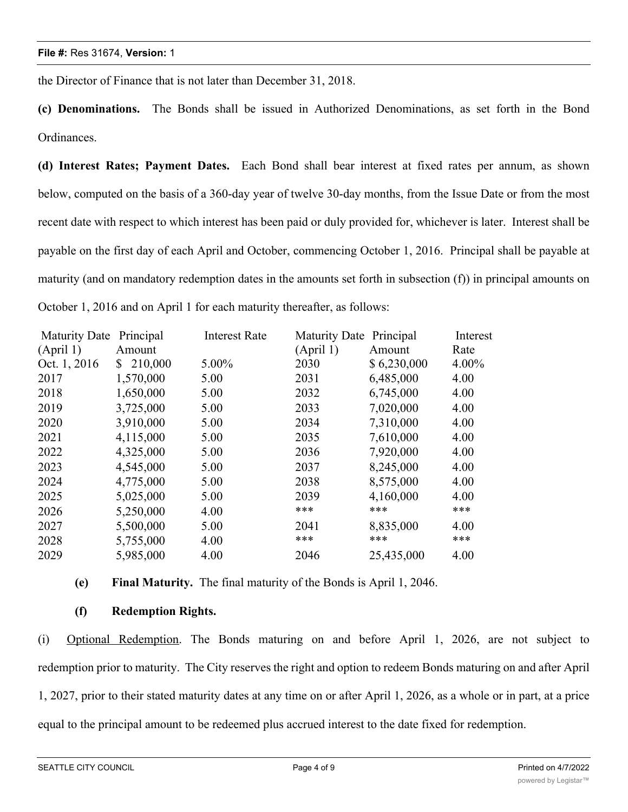the Director of Finance that is not later than December 31, 2018.

**(c) Denominations.** The Bonds shall be issued in Authorized Denominations, as set forth in the Bond Ordinances.

**(d) Interest Rates; Payment Dates.** Each Bond shall bear interest at fixed rates per annum, as shown below, computed on the basis of a 360-day year of twelve 30-day months, from the Issue Date or from the most recent date with respect to which interest has been paid or duly provided for, whichever is later. Interest shall be payable on the first day of each April and October, commencing October 1, 2016. Principal shall be payable at maturity (and on mandatory redemption dates in the amounts set forth in subsection (f)) in principal amounts on October 1, 2016 and on April 1 for each maturity thereafter, as follows:

| Principal     | <b>Interest Rate</b> |           |             | Interest                          |
|---------------|----------------------|-----------|-------------|-----------------------------------|
| Amount        |                      | (April 1) | Amount      | Rate                              |
| 210,000<br>S. | 5.00%                | 2030      | \$6,230,000 | 4.00%                             |
| 1,570,000     | 5.00                 | 2031      | 6,485,000   | 4.00                              |
| 1,650,000     | 5.00                 | 2032      | 6,745,000   | 4.00                              |
| 3,725,000     | 5.00                 | 2033      | 7,020,000   | 4.00                              |
| 3,910,000     | 5.00                 | 2034      | 7,310,000   | 4.00                              |
| 4,115,000     | 5.00                 | 2035      | 7,610,000   | 4.00                              |
| 4,325,000     | 5.00                 | 2036      | 7,920,000   | 4.00                              |
| 4,545,000     | 5.00                 | 2037      | 8,245,000   | 4.00                              |
| 4,775,000     | 5.00                 | 2038      | 8,575,000   | 4.00                              |
| 5,025,000     | 5.00                 | 2039      | 4,160,000   | 4.00                              |
| 5,250,000     | 4.00                 | ***       | ***         | ***                               |
| 5,500,000     | 5.00                 | 2041      | 8,835,000   | 4.00                              |
| 5,755,000     | 4.00                 | ***       | ***         | ***                               |
| 5,985,000     | 4.00                 | 2046      | 25,435,000  | 4.00                              |
|               | <b>Maturity Date</b> |           |             | <b>Maturity Date</b><br>Principal |

**(e) Final Maturity.** The final maturity of the Bonds is April 1, 2046.

## **(f) Redemption Rights.**

(i) Optional Redemption. The Bonds maturing on and before April 1, 2026, are not subject to redemption prior to maturity. The City reserves the right and option to redeem Bonds maturing on and after April 1, 2027, prior to their stated maturity dates at any time on or after April 1, 2026, as a whole or in part, at a price equal to the principal amount to be redeemed plus accrued interest to the date fixed for redemption.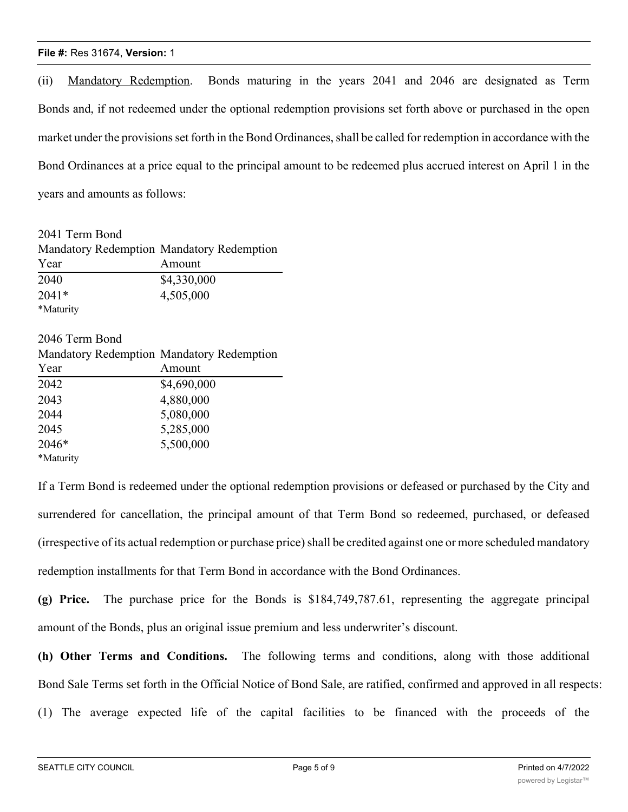### **File #:** Res 31674, **Version:** 1

(ii) Mandatory Redemption. Bonds maturing in the years 2041 and 2046 are designated as Term Bonds and, if not redeemed under the optional redemption provisions set forth above or purchased in the open market under the provisions set forth in the Bond Ordinances, shall be called for redemption in accordance with the Bond Ordinances at a price equal to the principal amount to be redeemed plus accrued interest on April 1 in the years and amounts as follows:

2041 Term Bond Mandatory Redemption Mandatory Redemption Year Amount 2040 \$4,330,000 2041\* 4,505,000 \*Maturity

#### 2046 Term Bond

|           | Mandatory Redemption Mandatory Redemption |
|-----------|-------------------------------------------|
| Year      | Amount                                    |
| 2042      | \$4,690,000                               |
| 2043      | 4,880,000                                 |
| 2044      | 5,080,000                                 |
| 2045      | 5,285,000                                 |
| $2046*$   | 5,500,000                                 |
| *Maturity |                                           |

If a Term Bond is redeemed under the optional redemption provisions or defeased or purchased by the City and surrendered for cancellation, the principal amount of that Term Bond so redeemed, purchased, or defeased (irrespective of its actual redemption or purchase price) shall be credited against one or more scheduled mandatory redemption installments for that Term Bond in accordance with the Bond Ordinances.

**(g) Price.** The purchase price for the Bonds is \$184,749,787.61, representing the aggregate principal amount of the Bonds, plus an original issue premium and less underwriter's discount.

**(h) Other Terms and Conditions.** The following terms and conditions, along with those additional Bond Sale Terms set forth in the Official Notice of Bond Sale, are ratified, confirmed and approved in all respects:

(1) The average expected life of the capital facilities to be financed with the proceeds of the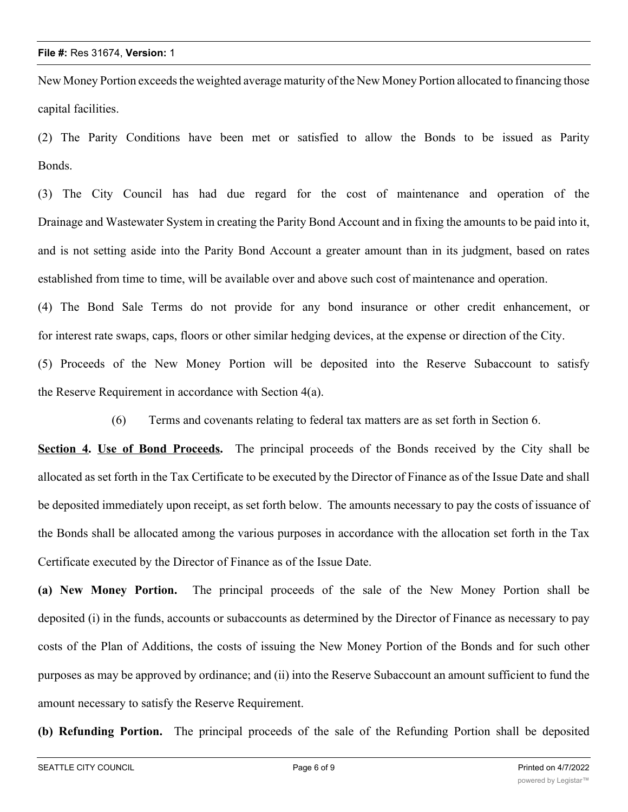New Money Portion exceeds the weighted average maturity of the New Money Portion allocated to financing those capital facilities.

(2) The Parity Conditions have been met or satisfied to allow the Bonds to be issued as Parity Bonds.

(3) The City Council has had due regard for the cost of maintenance and operation of the Drainage and Wastewater System in creating the Parity Bond Account and in fixing the amounts to be paid into it, and is not setting aside into the Parity Bond Account a greater amount than in its judgment, based on rates established from time to time, will be available over and above such cost of maintenance and operation.

(4) The Bond Sale Terms do not provide for any bond insurance or other credit enhancement, or for interest rate swaps, caps, floors or other similar hedging devices, at the expense or direction of the City. (5) Proceeds of the New Money Portion will be deposited into the Reserve Subaccount to satisfy

the Reserve Requirement in accordance with Section 4(a).

(6) Terms and covenants relating to federal tax matters are as set forth in Section 6.

**Section 4. Use of Bond Proceeds.** The principal proceeds of the Bonds received by the City shall be allocated as set forth in the Tax Certificate to be executed by the Director of Finance as of the Issue Date and shall be deposited immediately upon receipt, as set forth below. The amounts necessary to pay the costs of issuance of the Bonds shall be allocated among the various purposes in accordance with the allocation set forth in the Tax Certificate executed by the Director of Finance as of the Issue Date.

**(a) New Money Portion.** The principal proceeds of the sale of the New Money Portion shall be deposited (i) in the funds, accounts or subaccounts as determined by the Director of Finance as necessary to pay costs of the Plan of Additions, the costs of issuing the New Money Portion of the Bonds and for such other purposes as may be approved by ordinance; and (ii) into the Reserve Subaccount an amount sufficient to fund the amount necessary to satisfy the Reserve Requirement.

**(b) Refunding Portion.** The principal proceeds of the sale of the Refunding Portion shall be deposited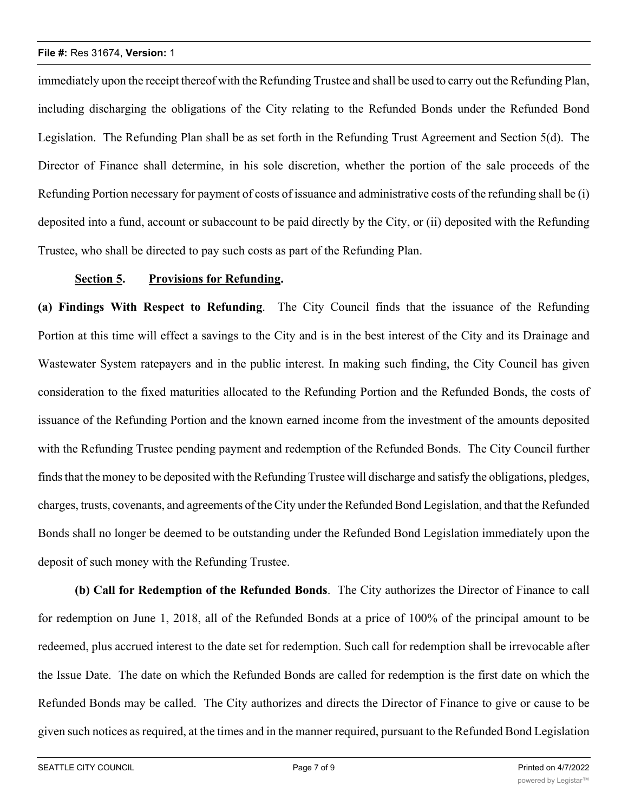#### **File #:** Res 31674, **Version:** 1

immediately upon the receipt thereof with the Refunding Trustee and shall be used to carry out the Refunding Plan, including discharging the obligations of the City relating to the Refunded Bonds under the Refunded Bond Legislation. The Refunding Plan shall be as set forth in the Refunding Trust Agreement and Section 5(d). The Director of Finance shall determine, in his sole discretion, whether the portion of the sale proceeds of the Refunding Portion necessary for payment of costs of issuance and administrative costs of the refunding shall be (i) deposited into a fund, account or subaccount to be paid directly by the City, or (ii) deposited with the Refunding Trustee, who shall be directed to pay such costs as part of the Refunding Plan.

### **Section 5. Provisions for Refunding.**

**(a) Findings With Respect to Refunding**. The City Council finds that the issuance of the Refunding Portion at this time will effect a savings to the City and is in the best interest of the City and its Drainage and Wastewater System ratepayers and in the public interest. In making such finding, the City Council has given consideration to the fixed maturities allocated to the Refunding Portion and the Refunded Bonds, the costs of issuance of the Refunding Portion and the known earned income from the investment of the amounts deposited with the Refunding Trustee pending payment and redemption of the Refunded Bonds. The City Council further finds that the money to be deposited with the Refunding Trustee will discharge and satisfy the obligations, pledges, charges, trusts, covenants, and agreements of the City under the Refunded Bond Legislation, and that the Refunded Bonds shall no longer be deemed to be outstanding under the Refunded Bond Legislation immediately upon the deposit of such money with the Refunding Trustee.

**(b) Call for Redemption of the Refunded Bonds**. The City authorizes the Director of Finance to call for redemption on June 1, 2018, all of the Refunded Bonds at a price of 100% of the principal amount to be redeemed, plus accrued interest to the date set for redemption. Such call for redemption shall be irrevocable after the Issue Date. The date on which the Refunded Bonds are called for redemption is the first date on which the Refunded Bonds may be called. The City authorizes and directs the Director of Finance to give or cause to be given such notices as required, at the times and in the manner required, pursuant to the Refunded Bond Legislation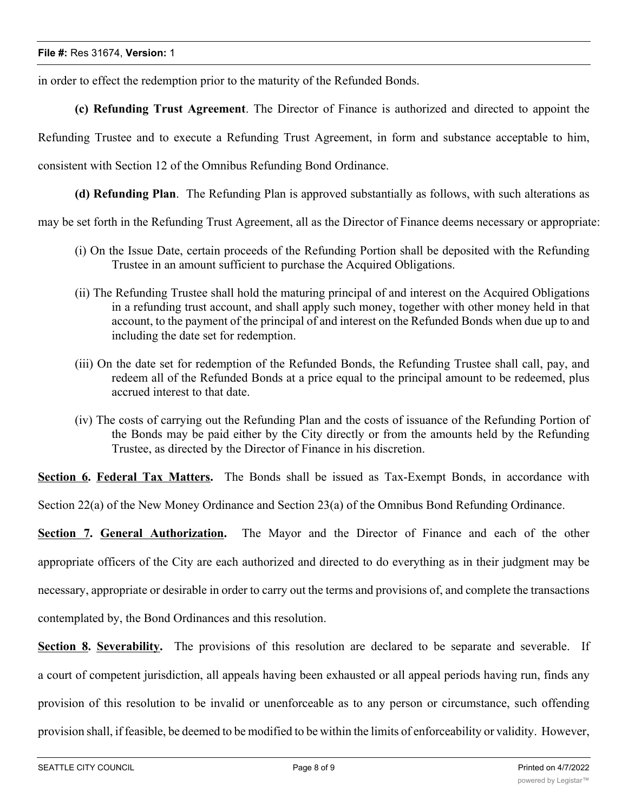in order to effect the redemption prior to the maturity of the Refunded Bonds.

**(c) Refunding Trust Agreement**. The Director of Finance is authorized and directed to appoint the

Refunding Trustee and to execute a Refunding Trust Agreement, in form and substance acceptable to him,

consistent with Section 12 of the Omnibus Refunding Bond Ordinance.

**(d) Refunding Plan**. The Refunding Plan is approved substantially as follows, with such alterations as

may be set forth in the Refunding Trust Agreement, all as the Director of Finance deems necessary or appropriate:

- (i) On the Issue Date, certain proceeds of the Refunding Portion shall be deposited with the Refunding Trustee in an amount sufficient to purchase the Acquired Obligations.
- (ii) The Refunding Trustee shall hold the maturing principal of and interest on the Acquired Obligations in a refunding trust account, and shall apply such money, together with other money held in that account, to the payment of the principal of and interest on the Refunded Bonds when due up to and including the date set for redemption.
- (iii) On the date set for redemption of the Refunded Bonds, the Refunding Trustee shall call, pay, and redeem all of the Refunded Bonds at a price equal to the principal amount to be redeemed, plus accrued interest to that date.
- (iv) The costs of carrying out the Refunding Plan and the costs of issuance of the Refunding Portion of the Bonds may be paid either by the City directly or from the amounts held by the Refunding Trustee, as directed by the Director of Finance in his discretion.

**Section 6. Federal Tax Matters.** The Bonds shall be issued as Tax-Exempt Bonds, in accordance with

Section 22(a) of the New Money Ordinance and Section 23(a) of the Omnibus Bond Refunding Ordinance.

**Section 7. General Authorization.** The Mayor and the Director of Finance and each of the other appropriate officers of the City are each authorized and directed to do everything as in their judgment may be necessary, appropriate or desirable in order to carry out the terms and provisions of, and complete the transactions contemplated by, the Bond Ordinances and this resolution.

**Section 8. Severability.** The provisions of this resolution are declared to be separate and severable. If a court of competent jurisdiction, all appeals having been exhausted or all appeal periods having run, finds any provision of this resolution to be invalid or unenforceable as to any person or circumstance, such offending provision shall, if feasible, be deemed to be modified to be within the limits of enforceability or validity. However,